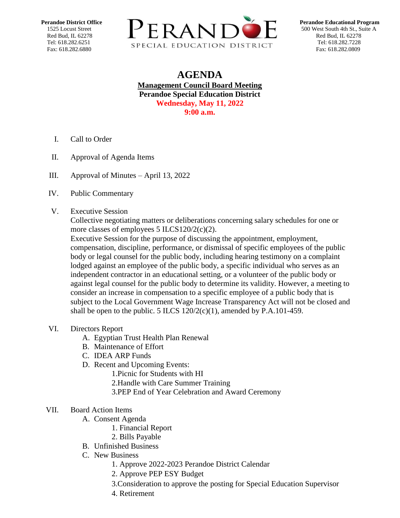

## **AGENDA Management Council Board Meeting Perandoe Special Education District Wednesday, May 11, 2022 9:00 a.m.**

- I. Call to Order
- II. Approval of Agenda Items
- III. Approval of Minutes [April 13, 2022](https://docs.google.com/document/d/1_2rpi245VfRU1X-xb4v0LYl_oHal2APm/edit?usp=sharing&ouid=111593008626251822305&rtpof=true&sd=true)
- IV. Public Commentary
- V. Executive Session

Collective negotiating matters or deliberations concerning salary schedules for one or more classes of employees 5 ILCS120/2(c)(2).

Executive Session for the purpose of discussing the appointment, employment, compensation, discipline, performance, or dismissal of specific employees of the public body or legal counsel for the public body, including hearing testimony on a complaint lodged against an employee of the public body, a specific individual who serves as an independent contractor in an educational setting, or a volunteer of the public body or against legal counsel for the public body to determine its validity. However, a meeting to consider an increase in compensation to a specific employee of a public body that is subject to the Local Government Wage Increase Transparency Act will not be closed and shall be open to the public. 5 ILCS  $120/2(c)(1)$ , amended by P.A.101-459.

- VI. Directors Report
	- A. Egyptian Trust Health Plan Renewal
	- B. Maintenance of Effort
	- C. IDEA ARP Funds
	- D. Recent and Upcoming Events:
		- 1.Picnic for Students with HI
		- 2.Handle with Care Summer Training
		- 3.PEP End of Year Celebration and Award Ceremony

## VII. Board Action Items

- A. Consent Agenda
	- 1. Financial Report
	- 2. Bills Payable
- B. Unfinished Business
- C. New Business
	- 1. Approve 2022-2023 Perandoe District Calendar
	- 2. Approve PEP ESY Budget
	- 3.Consideration to approve the posting for Special Education Supervisor
	- 4. Retirement